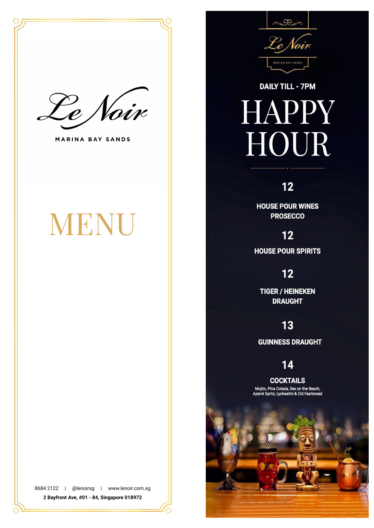

**MARINA BAY SANDS** 

## MENU

8684 2122 | @lenoirsg | www.lenoir.com.sg 2 Bayfront Ave, #01 - 84, Singapore 018972



## **DAILY TILL - 7PM HAPPY HOUR**

## $12$

**HOUSE POUR WINES PROSECCO** 

 $12$ 

**HOUSE POUR SPIRITS** 

## $12$

**TIGER / HEINEKEN DRAUGHT** 

## 13

**GUINNESS DRAUGHT** 

14

**COCKTAILS** Mojito, Pina Colada, Sex on the Beach,<br>Aperol Spritz, Lycheetini & Old Fashioned

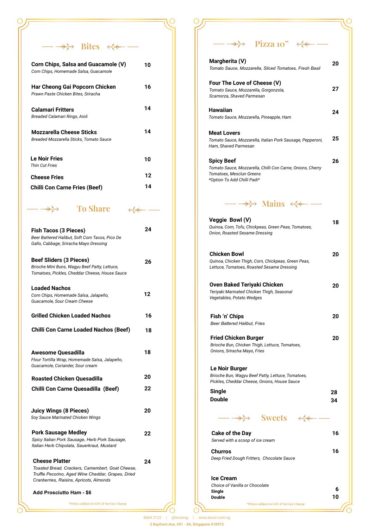$\rightarrow\rightarrow$  Bites  $\leftarrow$  —

 $\circ$ 

C

| Corn Chips, Salsa and Guacamole (V)<br>Corn Chips, Homemade Salsa, Guacamole | 10 |
|------------------------------------------------------------------------------|----|
| Har Cheong Gai Popcorn Chicken<br>Prawn Paste Chicken Bites, Sriracha        | 16 |
| <b>Calamari Fritters</b><br>Breaded Calamari Rings, Aioli                    | 14 |
| <b>Mozzarella Cheese Sticks</b><br>Breaded Mozzarella Sticks. Tomato Sauce   | 14 |
| <b>Le Noir Fries</b><br>Thin Cut Fries                                       | 10 |
| <b>Cheese Fries</b>                                                          | 12 |
| <b>Chilli Con Carne Fries (Beef)</b>                                         | 14 |

**To Share**  $\iff$  —

 $\leftrightarrow$ 

| <b>Fish Tacos (3 Pieces)</b><br>Beer Battered Halibut, Soft Corn Tacos, Pico De<br>Gallo, Cabbage, Sriracha Mayo Dressing                                                  | 24 |
|----------------------------------------------------------------------------------------------------------------------------------------------------------------------------|----|
| <b>Beef Sliders (3 Pieces)</b><br>Brioche Mini Buns, Wagyu Beef Patty, Lettuce,<br>Tomatoes, Pickles, Cheddar Cheese, House Sauce                                          | 26 |
| <b>Loaded Nachos</b><br>Corn Chips, Homemade Salsa, Jalapeño,<br>Guacamole, Sour Cream Cheese                                                                              | 12 |
| <b>Grilled Chicken Loaded Nachos</b>                                                                                                                                       | 16 |
| <b>Chilli Con Carne Loaded Nachos (Beef)</b>                                                                                                                               | 18 |
| Awesome Quesadilla<br>Flour Tortilla Wrap, Homemade Salsa, Jalapeño,<br>Guacamole, Coriander, Sour cream                                                                   | 18 |
| <b>Roasted Chicken Quesadilla</b>                                                                                                                                          | 20 |
| Chilli Con Carne Quesadilla (Beef)                                                                                                                                         | 22 |
| Juicy Wings (8 Pieces)<br>Soy Sauce Marinated Chicken Wings                                                                                                                | 20 |
| <b>Pork Sausage Medley</b><br>Spicy Italian Pork Sausage, Herb Pork Sausage,<br>Italian Herb Chipolata, Sauerkraut, Mustard                                                | 22 |
| <b>Cheese Platter</b><br>Toasted Bread, Crackers, Camembert, Goat Cheese,<br>Truffle Pecorino, Aged Wine Cheddar, Grapes, Dried<br>Cranberries, Raisins, Apricots, Almonds | 24 |
| <b>Add Prosciutto Ham - \$6</b>                                                                                                                                            |    |

**\*Prices subject to GST & Service Charge**

**Pizza 10"**

 $\circ$ 

| ______<br>$\overline{a}$<br><b>FIZZA 10</b>                                                                                                |          |
|--------------------------------------------------------------------------------------------------------------------------------------------|----------|
| Margherita (V)<br>Tomato Sauce, Mozzarella, Sliced Tomatoes, Fresh Basil                                                                   | 20       |
| Four The Love of Cheese (V)<br>Tomato Sauce, Mozzarella, Gorgonzola,<br>Scamorza, Shaved Parmesan                                          | 27       |
| Hawaiian<br>Tomato Sauce, Mozzarella, Pineapple, Ham                                                                                       | 24       |
| <b>Meat Lovers</b><br>Tomato Sauce, Mozzarella, Italian Pork Sausage, Pepperoni,<br>Ham, Shaved Parmesan                                   | 25       |
| <b>Spicy Beef</b><br>Tomato Sauce, Mozzarella, Chilli Con Carne, Onions, Cherry<br>Tomatoes, Mesclun Greens<br>*Option To Add Chilli Padi* | 26       |
| $-\rightarrow\rightarrow$ Mains $\leftrightarrow$                                                                                          |          |
| Veggie Bowl (V)<br>Quinoa, Corn, Tofu, Chickpeas, Green Peas, Tomatoes,<br>Onion, Roasted Sesame Dressing                                  | 18       |
| <b>Chicken Bowl</b><br>Quinoa, Chicken Thigh, Corn, Chickpeas, Green Peas,<br>Lettuce, Tomatoes, Roasted Sesame Dressing                   | 20       |
| Oven Baked Teriyaki Chicken<br>Teriyaki Marinated Chicken Thigh, Seasonal<br>Vegetables, Potato Wedges                                     | 20       |
| Fish 'n' Chips<br><b>Beer Battered Halibut, Fries</b>                                                                                      | 20       |
| <b>Fried Chicken Burger</b><br>Brioche Bun, Chicken Thigh, Lettuce, Tomatoes,<br>Onions, Sriracha Mayo, Fries                              | 20       |
| Le Noir Burger<br>Brioche Bun, Wagyu Beef Patty, Lettuce, Tomatoes,<br>Pickles, Cheddar Cheese, Onions, House Sauce                        |          |
| Single<br>Double                                                                                                                           | 28<br>34 |
| $\longrightarrow$ >>> Sweets $\prec\leftarrow$                                                                                             |          |
| <b>Cake of the Day</b><br>Served with a scoop of ice cream                                                                                 | 16       |
| Churros<br>Deep Fried Dough Fritters, Chocolate Sauce                                                                                      | 16       |
| <b>Ice Cream</b><br>Choice of Vanilla or Chocolate                                                                                         | 6        |
| Single<br><b>Double</b>                                                                                                                    | 10       |

**\*Prices subject to GST & Service Charge**

 $\circ$ 

 $\sqrt{2}$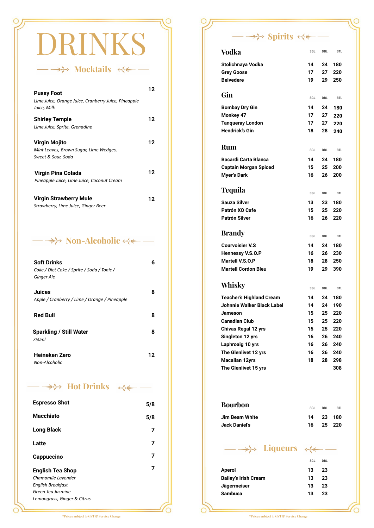# RINKS

→ Mocktails <<<del><</del>

#### **Shirley Temple** *Lime Juice, Sprite, Grenadine*  **Pussy Foot** *Lime Juice, Orange Juice, Cranberry Juice, Pineapple Juice, Milk*  **12 12 Virgin Mojito** *Mint Leaves, Brown Sugar, Lime Wedges, Sweet & Sour, Soda*  **12 12 Virgin Strawberry Mule 12 Virgin Pina Colada** *Pineapple Juice, Lime Juice, Coconut Cream*

*Strawberry, Lime Juice, Ginger Beer* 

#### → Non-Alcoholic <<<del><</del>

| <b>Soft Drinks</b>                            | 6  |
|-----------------------------------------------|----|
| Coke / Diet Coke / Sprite / Soda / Tonic /    |    |
| Ginger Ale                                    |    |
| <b>Juices</b>                                 | 8  |
| Apple / Cranberry / Lime / Orange / Pineapple |    |
| <b>Red Bull</b>                               | 8  |
| <b>Sparkling / Still Water</b>                | 8  |
| 750ml                                         |    |
| Heineken Zero                                 | 12 |
| Non-Alcoholic                                 |    |

#### → Hot Drinks ←

| <b>Espresso Shot</b>                                                                    | 5/8 |
|-----------------------------------------------------------------------------------------|-----|
| Macchiato                                                                               | 5/8 |
| Long Black                                                                              | 7   |
| Latte                                                                                   | 7   |
| Cappuccino                                                                              | 7   |
| <b>English Tea Shop</b><br>Chamomile Lavender<br>English Breakfast<br>Green Tea Jasmine |     |
| Lemongrass, Ginger & Citrus                                                             |     |

#### $\rightarrow\rightarrow$  Spirits  $\leftarrow$  —

| Vodka                        | SGL | DBL        | <b>BTL</b> |
|------------------------------|-----|------------|------------|
| Stolichnaya Vodka            | 14  | 24         | 180        |
| <b>Grey Goose</b>            | 17  | 27         | 220        |
| <b>Belvedere</b>             | 19  | 29         | 250        |
| Gin                          | SGL | DBL        | <b>BTL</b> |
| <b>Bombay Dry Gin</b>        | 14  | 24         | 180        |
| Monkey 47                    | 17  | 27         | 220        |
| <b>Tanqueray London</b>      | 17  | 27         | 220        |
| Hendrick's Gin               | 18  | 28         | 240        |
| Rum                          | SGL | DBL        | <b>BTL</b> |
| <b>Bacardi Carta Blanca</b>  | 14  | 24         | 180        |
| <b>Captain Morgan Spiced</b> | 15  | 25         | 200        |
| <b>Myer's Dark</b>           | 16  | 26         | 200        |
| Tequila                      | SGL | DBL        | <b>BTL</b> |
| Sauza Silver                 | 13  | 23         | 180        |
| Patrón XO Cafe               | 15  | 25         | 220        |
| Patrón Silver                | 16  | 26         | 220        |
| <b>Brandy</b>                | SGL | <b>DBL</b> | <b>BTL</b> |
| <b>Courvoisier V.S</b>       | 14  | 24         | 180        |
| Hennessy V.S.O.P             | 16  | 26         | 230        |
| Martell V.S.O.P              | 18  | 28         | 250        |
| <b>Martell Cordon Bleu</b>   | 19  | 29         | 390        |
| Whisky                       | SGL | DBL        | <b>BTL</b> |
| Teacher's Highland Cream     | 14  | 24         | 180        |
| Johnnie Walker Black Label   | 14  | 24         | 190        |
| Jameson                      | 15  | 25         | 220        |
| Canadian Club                | 15  | 25         | 220        |
| Chivas Regal 12 yrs          | 15  | 25         | 220        |
| Singleton 12 yrs             | 16  | 26         | 240        |
| Laphroaig 10 yrs             | 16  | 26         | 240        |
| The Glenlivet 12 yrs         | 16  | 26         | 240        |
| Macallan 12yrs               | 18  | 28         | 298        |
| The Glenlivet 15 yrs         |     |            | 308        |
| Bourbon                      | SGL | DBL        | <b>BTL</b> |
| Jim Beam White               | 14  | 23         | 180        |
| Jack Danieľs                 | 16  | 25         | 220        |
| → <i>→</i> Liqueurs ←        |     |            |            |
|                              | SGL | DBL        |            |
|                              |     |            |            |

| <b>Aperol</b>               | 13. | - 23 |
|-----------------------------|-----|------|
| <b>Bailey's Irish Cream</b> | 13. | -23  |
| Jägermeiser                 | 13. | - 23 |
| Sambuca                     | 13. | - 23 |
|                             |     |      |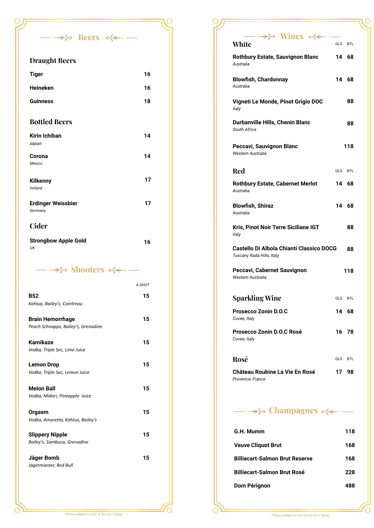#### **Draught Beers**

*UK*

| <b>Tiger</b>                         | 16 |
|--------------------------------------|----|
| <b>Heineken</b>                      | 16 |
| <b>Guinness</b>                      | 18 |
| <b>Bottled Beers</b>                 |    |
| <b>Kirin Ichiban</b>                 | 14 |
| Japan                                |    |
| Corona                               | 14 |
| Mexico                               |    |
| <b>Kilkenny</b><br>Ireland           | 17 |
| <b>Erdinger Weissbier</b><br>Germany | 17 |
| <b>Cider</b>                         |    |
| <b>Strongbow Apple Gold</b>          | 16 |

 $\rightarrow\rightarrow$  Beers  $\leftarrow$  -

 $\circ$ 

→ Shooters <<< →

|                                      | A SHOT |
|--------------------------------------|--------|
| <b>B52</b>                           | 15     |
| Kahlua, Bailey's, Cointreau          |        |
| <b>Brain Hemorrhage</b>              | 15     |
| Peach Schnapps, Bailey's, Grenadine  |        |
| <b>Kamikaze</b>                      | 15     |
| Vodka, Triple Sec, Lime Juice        |        |
| <b>Lemon Drop</b>                    | 15     |
| Vodka, Triple Sec, Lemon Juice       |        |
| <b>Melon Ball</b>                    | 15     |
| Vodka, Midori, Pineapple Juice       |        |
| Orgasm                               | 15     |
| Vodka, Amaretto, Kahlua, Bailey's    |        |
| <b>Slippery Nipple</b>               | 15     |
| Bailey's, Sambuca, Grenadine         |        |
|                                      |        |
| Jäger Bomb<br>Jägermiester, Red Bull | 15     |
|                                      |        |
|                                      |        |
|                                      |        |

| $\rightarrow\rightarrow$ Wines $\leftarrow$                                  | <b>GLS</b> | <b>BTL</b> |
|------------------------------------------------------------------------------|------------|------------|
| White                                                                        |            |            |
| Rothbury Estate, Sauvignon Blanc<br>Australia                                | 14 68      |            |
| <b>Blowfish, Chardonnay</b><br>Australia                                     | 14 68      |            |
| Vigneti Le Monde, Pinot Grigio DOC<br>Italy                                  |            | 88         |
| Durbanville Hills, Chenin Blanc<br>South Africa                              |            | 88         |
| Peccavi, Sauvignon Blanc<br>Western Australia                                |            | 118        |
| Red                                                                          | GLS        | <b>BTL</b> |
| <b>Rothbury Estate, Cabernet Merlot</b><br>Australia                         | 14         | 68         |
| <b>Blowfish, Shiraz</b><br>Australia                                         | 14 68      |            |
| Kris, Pinot Noir Terre Siciliane IGT<br>Italy                                |            | 88         |
| <b>Castello Di Albola Chianti Classico DOCG</b><br>Tuscany Rada Hills, Italy |            | 88         |
| Peccavi, Cabernet Sauvignon<br>Western Australia                             |            | 118        |
| <b>Sparkling Wine</b>                                                        | GLS        | <b>BTL</b> |
| <b>Prosecco Zonin D.O.C</b><br>Cuvee, Italy                                  |            | 14 68      |
| <b>Prosecco Zonin D.O.C Rosé</b><br>Cuvee, Italy                             |            | 16 78      |
| Rosé                                                                         | GLS        | <b>BTL</b> |
| Château Roubine La Vie En Rosé<br>Provence, France                           | 17         | 98         |
| ← Champagnes ←                                                               |            |            |

 $\circ$ 

| G.H. Mumm                             | 118 |
|---------------------------------------|-----|
| <b>Veuve Cliquot Brut</b>             | 168 |
| <b>Billiecart-Salmon Brut Reserve</b> | 168 |
| <b>Billiecart-Salmon Brut Rosé</b>    | 228 |
| Dom Pérignon                          | 488 |

 $\circ$